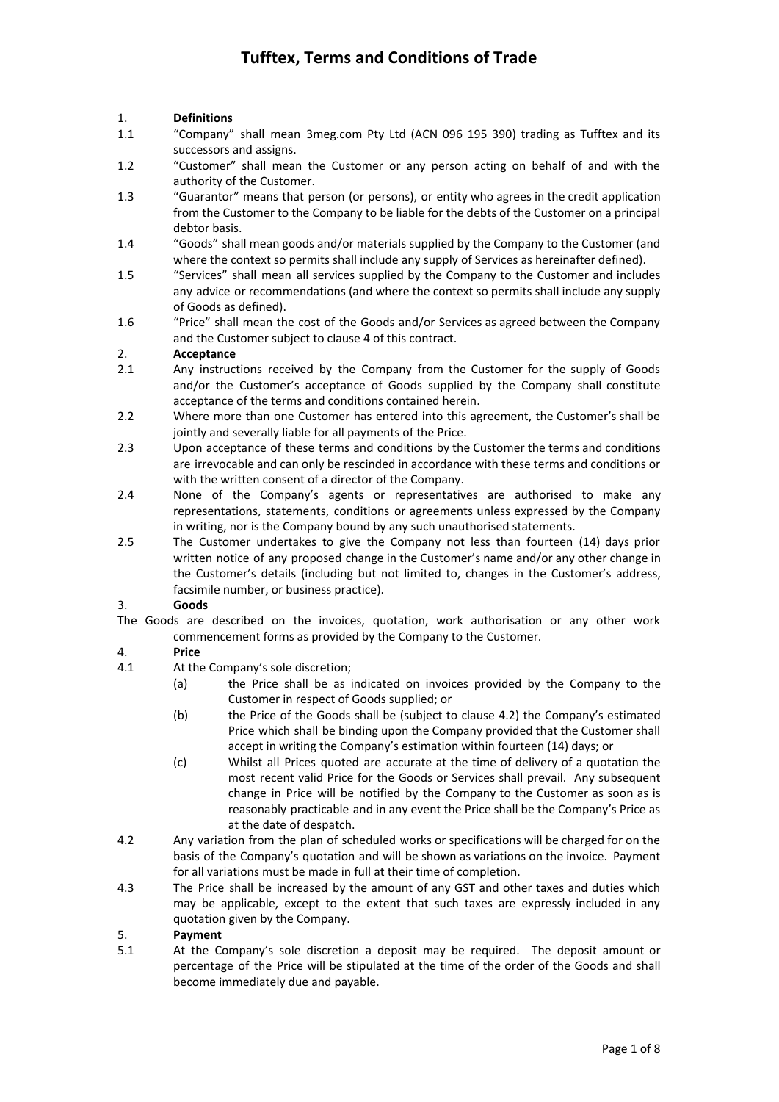## 1. **Definitions**

- 1.1 "Company" shall mean 3meg.com Pty Ltd (ACN 096 195 390) trading as Tufftex and its successors and assigns.
- 1.2 "Customer" shall mean the Customer or any person acting on behalf of and with the authority of the Customer.
- 1.3 "Guarantor" means that person (or persons), or entity who agrees in the credit application from the Customer to the Company to be liable for the debts of the Customer on a principal debtor basis.
- 1.4 "Goods" shall mean goods and/or materials supplied by the Company to the Customer (and where the context so permits shall include any supply of Services as hereinafter defined).
- 1.5 "Services" shall mean all services supplied by the Company to the Customer and includes any advice or recommendations (and where the context so permits shall include any supply of Goods as defined).
- 1.6 "Price" shall mean the cost of the Goods and/or Services as agreed between the Company and the Customer subject to clause 4 of this contract.

## 2. **Acceptance**

- 2.1 Any instructions received by the Company from the Customer for the supply of Goods and/or the Customer's acceptance of Goods supplied by the Company shall constitute acceptance of the terms and conditions contained herein.
- 2.2 Where more than one Customer has entered into this agreement, the Customer's shall be jointly and severally liable for all payments of the Price.
- 2.3 Upon acceptance of these terms and conditions by the Customer the terms and conditions are irrevocable and can only be rescinded in accordance with these terms and conditions or with the written consent of a director of the Company.
- 2.4 None of the Company's agents or representatives are authorised to make any representations, statements, conditions or agreements unless expressed by the Company in writing, nor is the Company bound by any such unauthorised statements.
- 2.5 The Customer undertakes to give the Company not less than fourteen (14) days prior written notice of any proposed change in the Customer's name and/or any other change in the Customer's details (including but not limited to, changes in the Customer's address, facsimile number, or business practice).

### 3. **Goods**

The Goods are described on the invoices, quotation, work authorisation or any other work commencement forms as provided by the Company to the Customer.

## 4. **Price**

- 4.1 At the Company's sole discretion;
	- (a) the Price shall be as indicated on invoices provided by the Company to the Customer in respect of Goods supplied; or
	- (b) the Price of the Goods shall be (subject to clause 4.2) the Company's estimated Price which shall be binding upon the Company provided that the Customer shall accept in writing the Company's estimation within fourteen (14) days; or
	- (c) Whilst all Prices quoted are accurate at the time of delivery of a quotation the most recent valid Price for the Goods or Services shall prevail. Any subsequent change in Price will be notified by the Company to the Customer as soon as is reasonably practicable and in any event the Price shall be the Company's Price as at the date of despatch.
- 4.2 Any variation from the plan of scheduled works or specifications will be charged for on the basis of the Company's quotation and will be shown as variations on the invoice. Payment for all variations must be made in full at their time of completion.
- 4.3 The Price shall be increased by the amount of any GST and other taxes and duties which may be applicable, except to the extent that such taxes are expressly included in any quotation given by the Company.

## 5. **Payment**

5.1 At the Company's sole discretion a deposit may be required. The deposit amount or percentage of the Price will be stipulated at the time of the order of the Goods and shall become immediately due and payable.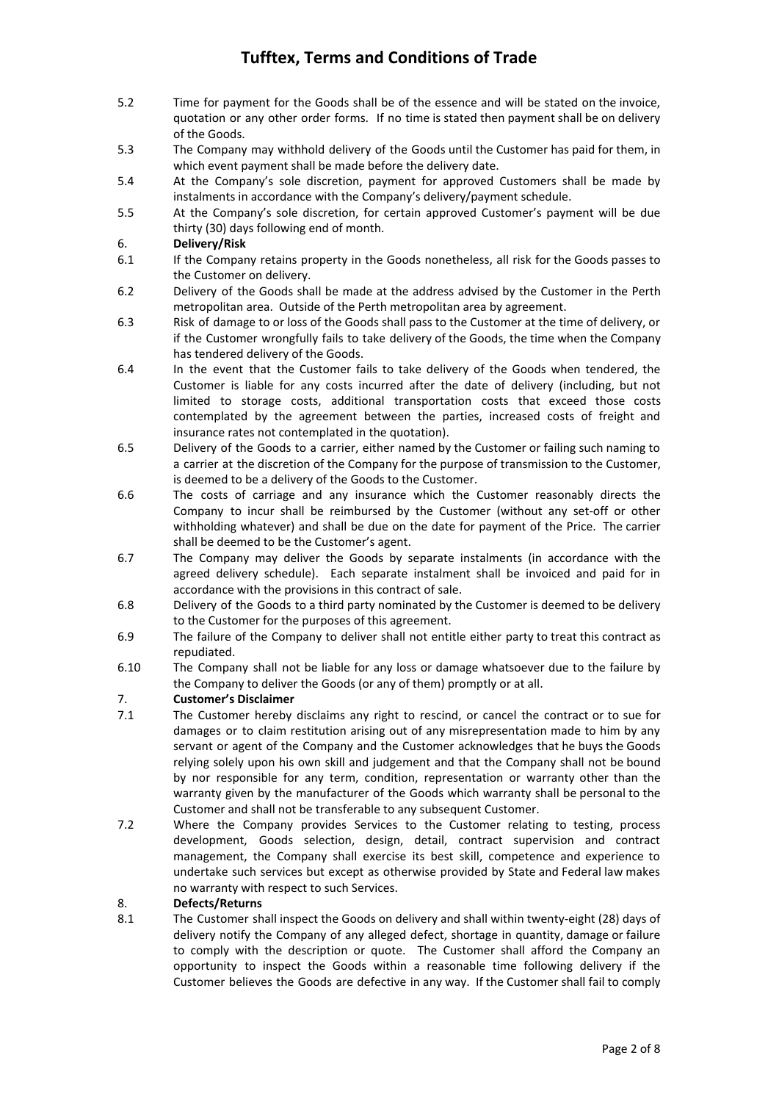- 5.2 Time for payment for the Goods shall be of the essence and will be stated on the invoice, quotation or any other order forms. If no time is stated then payment shall be on delivery of the Goods.
- 5.3 The Company may withhold delivery of the Goods until the Customer has paid for them, in which event payment shall be made before the delivery date.
- 5.4 At the Company's sole discretion, payment for approved Customers shall be made by instalments in accordance with the Company's delivery/payment schedule.
- 5.5 At the Company's sole discretion, for certain approved Customer's payment will be due thirty (30) days following end of month.

## 6. **Delivery/Risk**

- 6.1 If the Company retains property in the Goods nonetheless, all risk for the Goods passes to the Customer on delivery.
- 6.2 Delivery of the Goods shall be made at the address advised by the Customer in the Perth metropolitan area. Outside of the Perth metropolitan area by agreement.
- 6.3 Risk of damage to or loss of the Goods shall pass to the Customer at the time of delivery, or if the Customer wrongfully fails to take delivery of the Goods, the time when the Company has tendered delivery of the Goods.
- 6.4 In the event that the Customer fails to take delivery of the Goods when tendered, the Customer is liable for any costs incurred after the date of delivery (including, but not limited to storage costs, additional transportation costs that exceed those costs contemplated by the agreement between the parties, increased costs of freight and insurance rates not contemplated in the quotation).
- 6.5 Delivery of the Goods to a carrier, either named by the Customer or failing such naming to a carrier at the discretion of the Company for the purpose of transmission to the Customer, is deemed to be a delivery of the Goods to the Customer.
- 6.6 The costs of carriage and any insurance which the Customer reasonably directs the Company to incur shall be reimbursed by the Customer (without any set-off or other withholding whatever) and shall be due on the date for payment of the Price. The carrier shall be deemed to be the Customer's agent.
- 6.7 The Company may deliver the Goods by separate instalments (in accordance with the agreed delivery schedule). Each separate instalment shall be invoiced and paid for in accordance with the provisions in this contract of sale.
- 6.8 Delivery of the Goods to a third party nominated by the Customer is deemed to be delivery to the Customer for the purposes of this agreement.
- 6.9 The failure of the Company to deliver shall not entitle either party to treat this contract as repudiated.
- 6.10 The Company shall not be liable for any loss or damage whatsoever due to the failure by the Company to deliver the Goods (or any of them) promptly or at all.

### 7. **Customer's Disclaimer**

- 7.1 The Customer hereby disclaims any right to rescind, or cancel the contract or to sue for damages or to claim restitution arising out of any misrepresentation made to him by any servant or agent of the Company and the Customer acknowledges that he buys the Goods relying solely upon his own skill and judgement and that the Company shall not be bound by nor responsible for any term, condition, representation or warranty other than the warranty given by the manufacturer of the Goods which warranty shall be personal to the Customer and shall not be transferable to any subsequent Customer.
- 7.2 Where the Company provides Services to the Customer relating to testing, process development, Goods selection, design, detail, contract supervision and contract management, the Company shall exercise its best skill, competence and experience to undertake such services but except as otherwise provided by State and Federal law makes no warranty with respect to such Services.

### 8. **Defects/Returns**

8.1 The Customer shall inspect the Goods on delivery and shall within twenty-eight (28) days of delivery notify the Company of any alleged defect, shortage in quantity, damage or failure to comply with the description or quote. The Customer shall afford the Company an opportunity to inspect the Goods within a reasonable time following delivery if the Customer believes the Goods are defective in any way. If the Customer shall fail to comply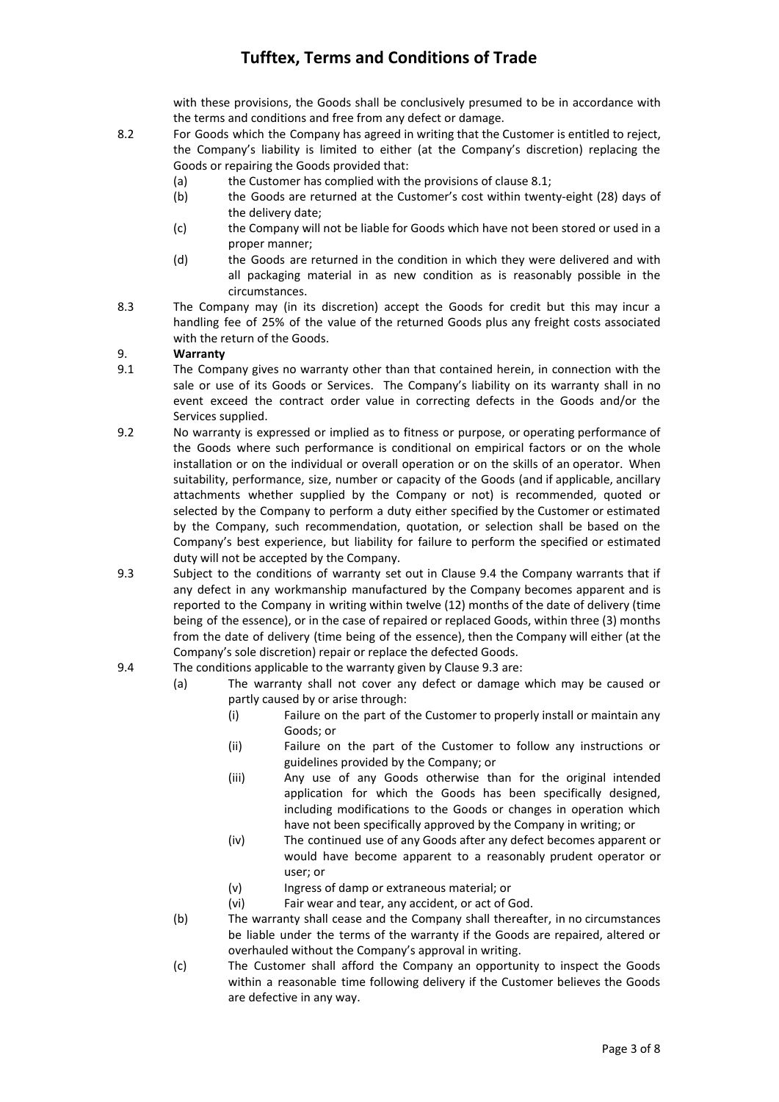with these provisions, the Goods shall be conclusively presumed to be in accordance with the terms and conditions and free from any defect or damage.

- 8.2 For Goods which the Company has agreed in writing that the Customer is entitled to reject, the Company's liability is limited to either (at the Company's discretion) replacing the Goods or repairing the Goods provided that:
	- (a) the Customer has complied with the provisions of clause 8.1;
	- (b) the Goods are returned at the Customer's cost within twenty-eight (28) days of the delivery date;
	- (c) the Company will not be liable for Goods which have not been stored or used in a proper manner;
	- (d) the Goods are returned in the condition in which they were delivered and with all packaging material in as new condition as is reasonably possible in the circumstances.
- 8.3 The Company may (in its discretion) accept the Goods for credit but this may incur a handling fee of 25% of the value of the returned Goods plus any freight costs associated with the return of the Goods.

## 9. **Warranty**

- 9.1 The Company gives no warranty other than that contained herein, in connection with the sale or use of its Goods or Services. The Company's liability on its warranty shall in no event exceed the contract order value in correcting defects in the Goods and/or the Services supplied.
- 9.2 No warranty is expressed or implied as to fitness or purpose, or operating performance of the Goods where such performance is conditional on empirical factors or on the whole installation or on the individual or overall operation or on the skills of an operator. When suitability, performance, size, number or capacity of the Goods (and if applicable, ancillary attachments whether supplied by the Company or not) is recommended, quoted or selected by the Company to perform a duty either specified by the Customer or estimated by the Company, such recommendation, quotation, or selection shall be based on the Company's best experience, but liability for failure to perform the specified or estimated duty will not be accepted by the Company.
- 9.3 Subject to the conditions of warranty set out in Clause 9.4 the Company warrants that if any defect in any workmanship manufactured by the Company becomes apparent and is reported to the Company in writing within twelve (12) months of the date of delivery (time being of the essence), or in the case of repaired or replaced Goods, within three (3) months from the date of delivery (time being of the essence), then the Company will either (at the Company's sole discretion) repair or replace the defected Goods.
- 9.4 The conditions applicable to the warranty given by Clause 9.3 are:
	- (a) The warranty shall not cover any defect or damage which may be caused or partly caused by or arise through:
		- (i) Failure on the part of the Customer to properly install or maintain any Goods; or
		- (ii) Failure on the part of the Customer to follow any instructions or guidelines provided by the Company; or
		- (iii) Any use of any Goods otherwise than for the original intended application for which the Goods has been specifically designed, including modifications to the Goods or changes in operation which have not been specifically approved by the Company in writing; or
		- (iv) The continued use of any Goods after any defect becomes apparent or would have become apparent to a reasonably prudent operator or user; or
		- (v) Ingress of damp or extraneous material; or
		- (vi) Fair wear and tear, any accident, or act of God.
	- (b) The warranty shall cease and the Company shall thereafter, in no circumstances be liable under the terms of the warranty if the Goods are repaired, altered or overhauled without the Company's approval in writing.
	- (c) The Customer shall afford the Company an opportunity to inspect the Goods within a reasonable time following delivery if the Customer believes the Goods are defective in any way.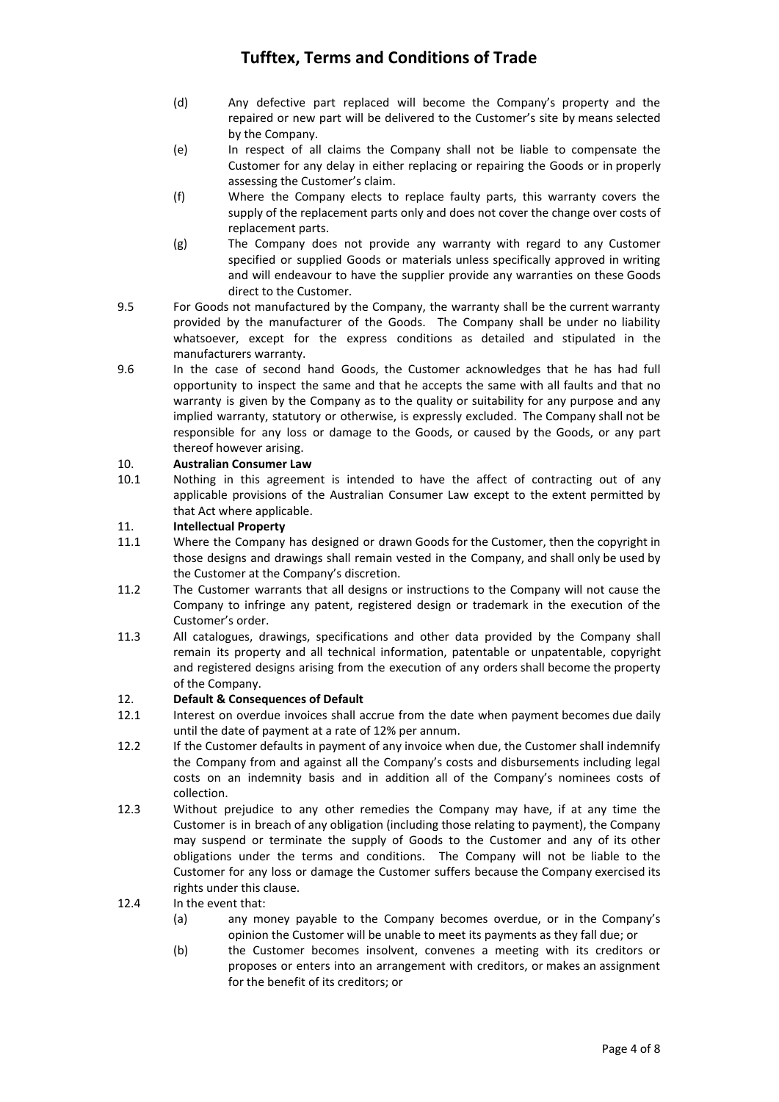- (d) Any defective part replaced will become the Company's property and the repaired or new part will be delivered to the Customer's site by means selected by the Company.
- (e) In respect of all claims the Company shall not be liable to compensate the Customer for any delay in either replacing or repairing the Goods or in properly assessing the Customer's claim.
- (f) Where the Company elects to replace faulty parts, this warranty covers the supply of the replacement parts only and does not cover the change over costs of replacement parts.
- (g) The Company does not provide any warranty with regard to any Customer specified or supplied Goods or materials unless specifically approved in writing and will endeavour to have the supplier provide any warranties on these Goods direct to the Customer.
- 9.5 For Goods not manufactured by the Company, the warranty shall be the current warranty provided by the manufacturer of the Goods. The Company shall be under no liability whatsoever, except for the express conditions as detailed and stipulated in the manufacturers warranty.
- 9.6 In the case of second hand Goods, the Customer acknowledges that he has had full opportunity to inspect the same and that he accepts the same with all faults and that no warranty is given by the Company as to the quality or suitability for any purpose and any implied warranty, statutory or otherwise, is expressly excluded. The Company shall not be responsible for any loss or damage to the Goods, or caused by the Goods, or any part thereof however arising.

### 10. **Australian Consumer Law**

10.1 Nothing in this agreement is intended to have the affect of contracting out of any applicable provisions of the Australian Consumer Law except to the extent permitted by that Act where applicable.

### 11. **Intellectual Property**

- 11.1 Where the Company has designed or drawn Goods for the Customer, then the copyright in those designs and drawings shall remain vested in the Company, and shall only be used by the Customer at the Company's discretion.
- 11.2 The Customer warrants that all designs or instructions to the Company will not cause the Company to infringe any patent, registered design or trademark in the execution of the Customer's order.
- 11.3 All catalogues, drawings, specifications and other data provided by the Company shall remain its property and all technical information, patentable or unpatentable, copyright and registered designs arising from the execution of any orders shall become the property of the Company.

## 12. **Default & Consequences of Default**

- 12.1 Interest on overdue invoices shall accrue from the date when payment becomes due daily until the date of payment at a rate of 12% per annum.
- 12.2 If the Customer defaults in payment of any invoice when due, the Customer shall indemnify the Company from and against all the Company's costs and disbursements including legal costs on an indemnity basis and in addition all of the Company's nominees costs of collection.
- 12.3 Without prejudice to any other remedies the Company may have, if at any time the Customer is in breach of any obligation (including those relating to payment), the Company may suspend or terminate the supply of Goods to the Customer and any of its other obligations under the terms and conditions. The Company will not be liable to the Customer for any loss or damage the Customer suffers because the Company exercised its rights under this clause.
- 12.4 In the event that:
	- (a) any money payable to the Company becomes overdue, or in the Company's opinion the Customer will be unable to meet its payments as they fall due; or
	- (b) the Customer becomes insolvent, convenes a meeting with its creditors or proposes or enters into an arrangement with creditors, or makes an assignment for the benefit of its creditors; or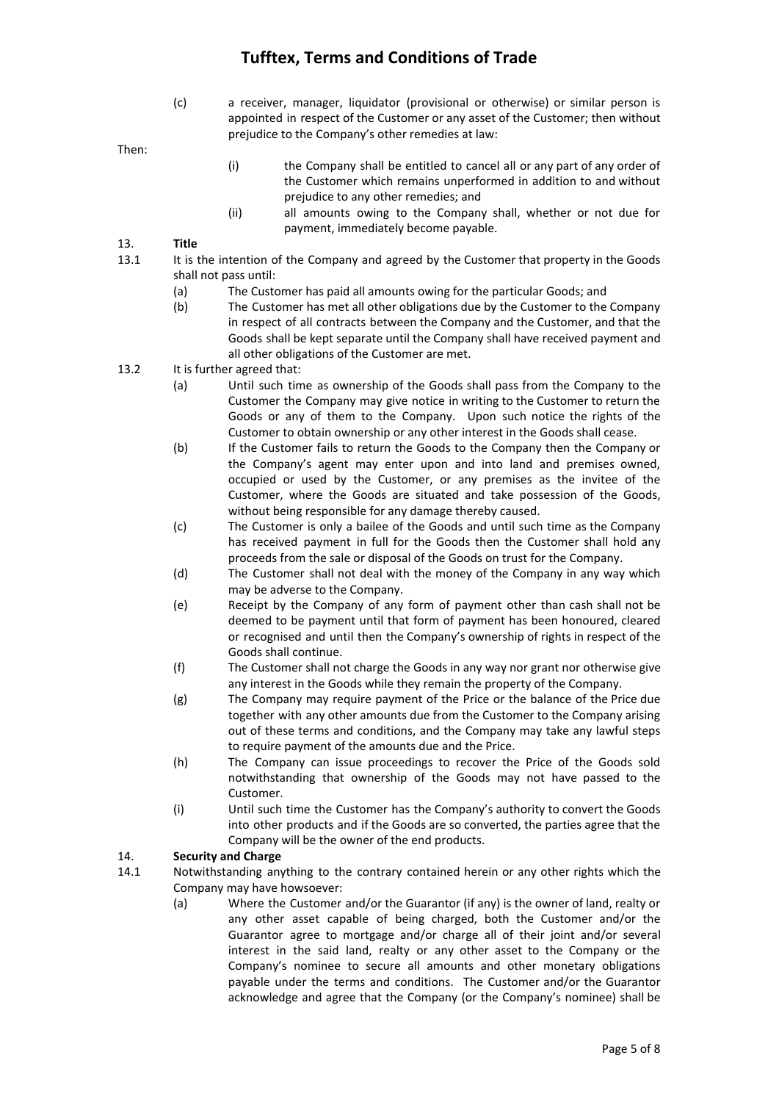(c) a receiver, manager, liquidator (provisional or otherwise) or similar person is appointed in respect of the Customer or any asset of the Customer; then without prejudice to the Company's other remedies at law:

Then:

- (i) the Company shall be entitled to cancel all or any part of any order of the Customer which remains unperformed in addition to and without prejudice to any other remedies; and
- (ii) all amounts owing to the Company shall, whether or not due for payment, immediately become payable.

## 13. **Title**

- 13.1 It is the intention of the Company and agreed by the Customer that property in the Goods shall not pass until:
	- (a) The Customer has paid all amounts owing for the particular Goods; and
	- (b) The Customer has met all other obligations due by the Customer to the Company in respect of all contracts between the Company and the Customer, and that the Goods shall be kept separate until the Company shall have received payment and all other obligations of the Customer are met.
- 13.2 It is further agreed that:
	- (a) Until such time as ownership of the Goods shall pass from the Company to the Customer the Company may give notice in writing to the Customer to return the Goods or any of them to the Company. Upon such notice the rights of the Customer to obtain ownership or any other interest in the Goods shall cease.
	- (b) If the Customer fails to return the Goods to the Company then the Company or the Company's agent may enter upon and into land and premises owned, occupied or used by the Customer, or any premises as the invitee of the Customer, where the Goods are situated and take possession of the Goods, without being responsible for any damage thereby caused.
	- (c) The Customer is only a bailee of the Goods and until such time as the Company has received payment in full for the Goods then the Customer shall hold any proceeds from the sale or disposal of the Goods on trust for the Company.
	- (d) The Customer shall not deal with the money of the Company in any way which may be adverse to the Company.
	- (e) Receipt by the Company of any form of payment other than cash shall not be deemed to be payment until that form of payment has been honoured, cleared or recognised and until then the Company's ownership of rights in respect of the Goods shall continue.
	- (f) The Customer shall not charge the Goods in any way nor grant nor otherwise give any interest in the Goods while they remain the property of the Company.
	- (g) The Company may require payment of the Price or the balance of the Price due together with any other amounts due from the Customer to the Company arising out of these terms and conditions, and the Company may take any lawful steps to require payment of the amounts due and the Price.
	- (h) The Company can issue proceedings to recover the Price of the Goods sold notwithstanding that ownership of the Goods may not have passed to the Customer.
	- (i) Until such time the Customer has the Company's authority to convert the Goods into other products and if the Goods are so converted, the parties agree that the Company will be the owner of the end products.

### 14. **Security and Charge**

- 14.1 Notwithstanding anything to the contrary contained herein or any other rights which the Company may have howsoever:
	- (a) Where the Customer and/or the Guarantor (if any) is the owner of land, realty or any other asset capable of being charged, both the Customer and/or the Guarantor agree to mortgage and/or charge all of their joint and/or several interest in the said land, realty or any other asset to the Company or the Company's nominee to secure all amounts and other monetary obligations payable under the terms and conditions. The Customer and/or the Guarantor acknowledge and agree that the Company (or the Company's nominee) shall be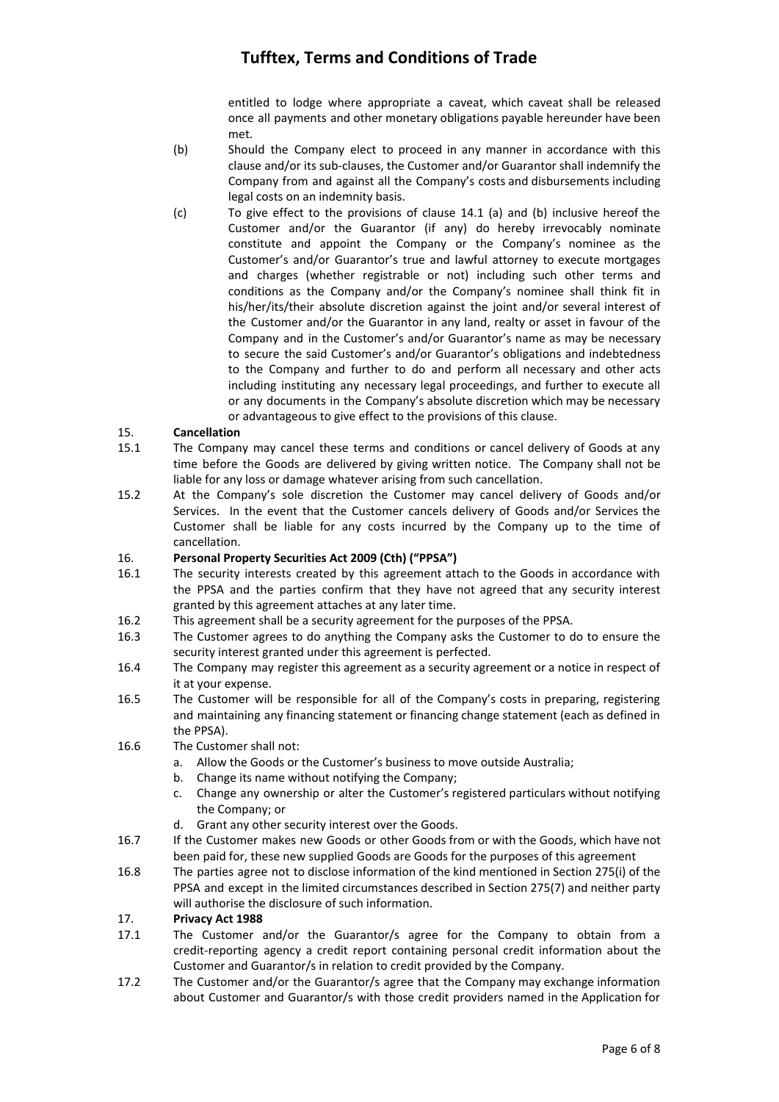entitled to lodge where appropriate a caveat, which caveat shall be released once all payments and other monetary obligations payable hereunder have been met.

- (b) Should the Company elect to proceed in any manner in accordance with this clause and/or its sub-clauses, the Customer and/or Guarantor shall indemnify the Company from and against all the Company's costs and disbursements including legal costs on an indemnity basis.
- (c) To give effect to the provisions of clause 14.1 (a) and (b) inclusive hereof the Customer and/or the Guarantor (if any) do hereby irrevocably nominate constitute and appoint the Company or the Company's nominee as the Customer's and/or Guarantor's true and lawful attorney to execute mortgages and charges (whether registrable or not) including such other terms and conditions as the Company and/or the Company's nominee shall think fit in his/her/its/their absolute discretion against the joint and/or several interest of the Customer and/or the Guarantor in any land, realty or asset in favour of the Company and in the Customer's and/or Guarantor's name as may be necessary to secure the said Customer's and/or Guarantor's obligations and indebtedness to the Company and further to do and perform all necessary and other acts including instituting any necessary legal proceedings, and further to execute all or any documents in the Company's absolute discretion which may be necessary or advantageous to give effect to the provisions of this clause.

## 15. **Cancellation**

- 15.1 The Company may cancel these terms and conditions or cancel delivery of Goods at any time before the Goods are delivered by giving written notice. The Company shall not be liable for any loss or damage whatever arising from such cancellation.
- 15.2 At the Company's sole discretion the Customer may cancel delivery of Goods and/or Services. In the event that the Customer cancels delivery of Goods and/or Services the Customer shall be liable for any costs incurred by the Company up to the time of cancellation.

### 16. **Personal Property Securities Act 2009 (Cth) ("PPSA")**

- 16.1 The security interests created by this agreement attach to the Goods in accordance with the PPSA and the parties confirm that they have not agreed that any security interest granted by this agreement attaches at any later time.
- 16.2 This agreement shall be a security agreement for the purposes of the PPSA.
- 16.3 The Customer agrees to do anything the Company asks the Customer to do to ensure the security interest granted under this agreement is perfected.
- 16.4 The Company may register this agreement as a security agreement or a notice in respect of it at your expense.
- 16.5 The Customer will be responsible for all of the Company's costs in preparing, registering and maintaining any financing statement or financing change statement (each as defined in the PPSA).
- 16.6 The Customer shall not:
	- a. Allow the Goods or the Customer's business to move outside Australia;
	- b. Change its name without notifying the Company;
	- c. Change any ownership or alter the Customer's registered particulars without notifying the Company; or
	- d. Grant any other security interest over the Goods.
- 16.7 If the Customer makes new Goods or other Goods from or with the Goods, which have not been paid for, these new supplied Goods are Goods for the purposes of this agreement
- 16.8 The parties agree not to disclose information of the kind mentioned in Section 275(i) of the PPSA and except in the limited circumstances described in Section 275(7) and neither party will authorise the disclosure of such information.

### 17. **Privacy Act 1988**

- 17.1 The Customer and/or the Guarantor/s agree for the Company to obtain from a credit-reporting agency a credit report containing personal credit information about the Customer and Guarantor/s in relation to credit provided by the Company.
- 17.2 The Customer and/or the Guarantor/s agree that the Company may exchange information about Customer and Guarantor/s with those credit providers named in the Application for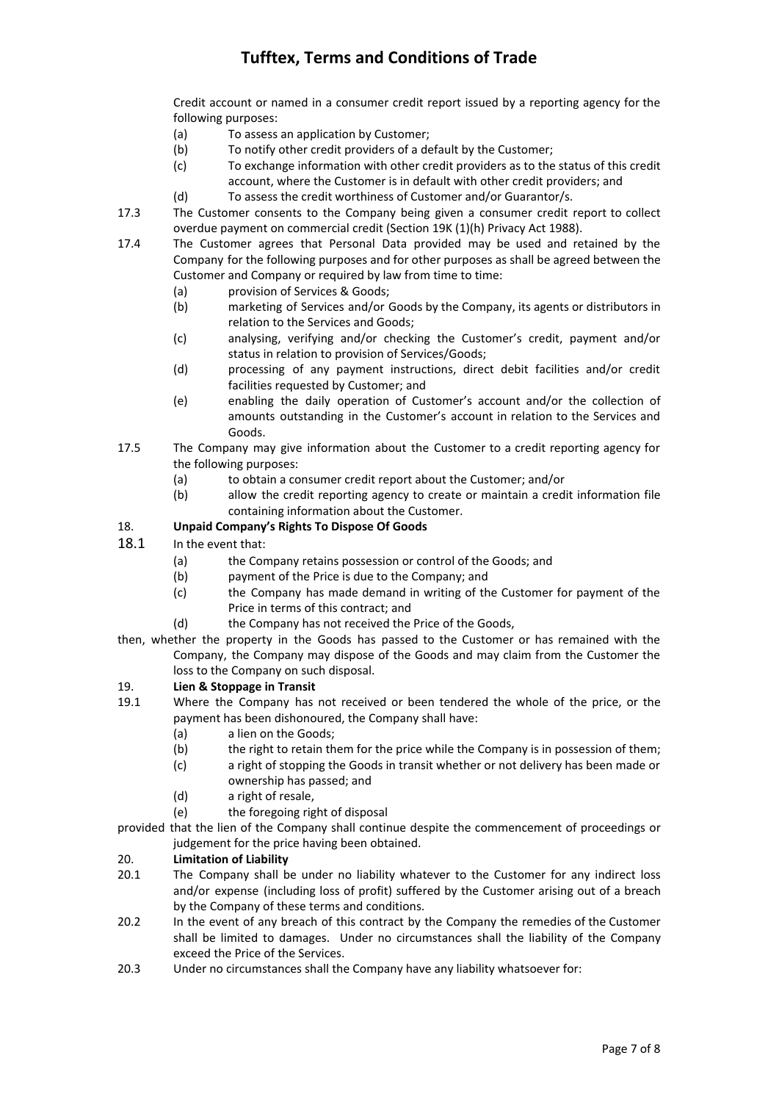Credit account or named in a consumer credit report issued by a reporting agency for the following purposes:

- (a) To assess an application by Customer;
- (b) To notify other credit providers of a default by the Customer;
- (c) To exchange information with other credit providers as to the status of this credit account, where the Customer is in default with other credit providers; and
- (d) To assess the credit worthiness of Customer and/or Guarantor/s.
- 17.3 The Customer consents to the Company being given a consumer credit report to collect overdue payment on commercial credit (Section 19K (1)(h) Privacy Act 1988).
- 17.4 The Customer agrees that Personal Data provided may be used and retained by the Company for the following purposes and for other purposes as shall be agreed between the Customer and Company or required by law from time to time:
	- (a) provision of Services & Goods;
	- (b) marketing of Services and/or Goods by the Company, its agents or distributors in relation to the Services and Goods;
	- (c) analysing, verifying and/or checking the Customer's credit, payment and/or status in relation to provision of Services/Goods;
	- (d) processing of any payment instructions, direct debit facilities and/or credit facilities requested by Customer; and
	- (e) enabling the daily operation of Customer's account and/or the collection of amounts outstanding in the Customer's account in relation to the Services and Goods.
- 17.5 The Company may give information about the Customer to a credit reporting agency for the following purposes:
	- (a) to obtain a consumer credit report about the Customer; and/or
	- (b) allow the credit reporting agency to create or maintain a credit information file containing information about the Customer.

## 18. **Unpaid Company's Rights To Dispose Of Goods**

## 18.1 In the event that:

- (a) the Company retains possession or control of the Goods; and
- (b) payment of the Price is due to the Company; and
- (c) the Company has made demand in writing of the Customer for payment of the Price in terms of this contract; and
- (d) the Company has not received the Price of the Goods,
- then, whether the property in the Goods has passed to the Customer or has remained with the Company, the Company may dispose of the Goods and may claim from the Customer the loss to the Company on such disposal.

## 19. **Lien & Stoppage in Transit**

- 19.1 Where the Company has not received or been tendered the whole of the price, or the payment has been dishonoured, the Company shall have:
	- (a) a lien on the Goods;
	- (b) the right to retain them for the price while the Company is in possession of them;
	- (c) a right of stopping the Goods in transit whether or not delivery has been made or
		- ownership has passed; and
	- (d) a right of resale,
	- (e) the foregoing right of disposal
- provided that the lien of the Company shall continue despite the commencement of proceedings or judgement for the price having been obtained.

### 20. **Limitation of Liability**

- 20.1 The Company shall be under no liability whatever to the Customer for any indirect loss and/or expense (including loss of profit) suffered by the Customer arising out of a breach by the Company of these terms and conditions.
- 20.2 In the event of any breach of this contract by the Company the remedies of the Customer shall be limited to damages. Under no circumstances shall the liability of the Company exceed the Price of the Services.
- 20.3 Under no circumstances shall the Company have any liability whatsoever for: